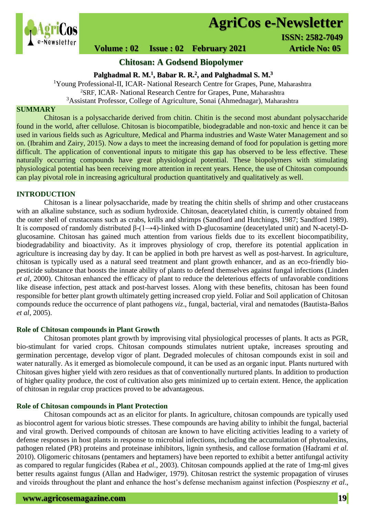

# **AgriCos e-Newsletter**

# **Volume : 02 Issue : 02 February 2021 4rticle No: 05**

**Chitosan: A Godsend Biopolymer**

**Palghadmal R. M.<sup>1</sup> , Babar R. R.<sup>2</sup> , and Palghadmal S. M.<sup>3</sup>**

<sup>1</sup>Young Professional-II, ICAR- National Research Centre for Grapes, Pune, Maharashtra <sup>2</sup>SRF, ICAR- National Research Centre for Grapes, Pune, Maharashtra <sup>3</sup>Assistant Professor, College of Agriculture, Sonai (Ahmednagar), Maharashtra

## **SUMMARY**

 Chitosan is a polysaccharide derived from chitin. Chitin is the second most abundant polysaccharide found in the world, after cellulose. Chitosan is biocompatible, biodegradable and non-toxic and hence it can be used in various fields such as Agriculture, Medical and Pharma industries and Waste Water Management and so on. (Ibrahim and Zairy, 2015). Now a days to meet the increasing demand of food for population is getting more difficult. The application of conventional inputs to mitigate this gap has observed to be less effective. These naturally occurring compounds have great physiological potential. These biopolymers with stimulating physiological potential has been receiving more attention in recent years. Hence, the use of Chitosan compounds can play pivotal role in increasing agricultural production quantitatively and qualitatively as well.

### **INTRODUCTION**

Chitosan is a linear polysaccharide, made by treating the chitin shells of shrimp and other crustaceans with an alkaline substance, such as sodium hydroxide. Chitosan, deacetylated chitin, is currently obtained from the outer shell of crustaceans such as crabs, krills and shrimps (Sandford and Hutchings, 1987; Sandford 1989). It is composed of randomly distributed β-(1→4)-linked with D-glucosamine (deacetylated unit) and N-acetyl-Dglucosamine. Chitosan has gained much attention from various fields due to its excellent biocompatibility, biodegradability and bioactivity. As it improves physiology of crop, therefore its potential application in agriculture is increasing day by day. It can be applied in both pre harvest as well as post-harvest. In agriculture, chitosan is typically used as a natural seed treatment and plant growth enhancer, and as an eco-friendly biopesticide substance that boosts the innate ability of plants to defend themselves against fungal infections (Linden *et al,* 2000). Chitosan enhanced the efficacy of plant to reduce the deleterious effects of unfavorable conditions like disease infection, pest attack and post-harvest losses. Along with these benefits, chitosan has been found responsible for better plant growth ultimately getting increased crop yield. Foliar and Soil application of Chitosan compounds reduce the occurrence of plant pathogens *viz*., fungal, bacterial, viral and nematodes (Bautista-Baños *et al*, 2005).

### **Role of Chitosan compounds in Plant Growth**

Chitosan promotes plant growth by improvising vital physiological processes of plants. It acts as PGR, bio-stimulant for varied crops. Chitosan compounds stimulates nutrient uptake, increases sprouting and germination percentage, develop vigor of plant. Degraded molecules of chitosan compounds exist in soil and water naturally. As it emerged as biomolecule compound, it can be used as an organic input. Plants nurtured with Chitosan gives higher yield with zero residues as that of conventionally nurtured plants. In addition to production of higher quality produce, the cost of cultivation also gets minimized up to certain extent. Hence, the application of chitosan in regular crop practices proved to be advantageous.

### **Role of Chitosan compounds in Plant Protection**

Chitosan compounds act as an elicitor for plants. In agriculture, chitosan compounds are typically used as biocontrol agent for various biotic stresses. These compounds are having ability to inhibit the fungal, bacterial and viral growth. Derived compounds of chitosan are known to have eliciting activities leading to a variety of defense responses in host plants in response to microbial infections, including the accumulation of phytoalexins, pathogen related (PR) proteins and proteinase inhibitors, lignin synthesis, and callose formation (Hadrami *et al.* 2010). Oligomeric chitosans (pentamers and heptamers) have been reported to exhibit a better antifungal activity as compared to regular fungicides (Rabea *et al.*, 2003). Chitosan compounds applied at the rate of 1mg-ml gives better results against fungus (Allan and Hadwiger, 1979). Chitosan restrict the systemic propagation of viruses and viroids throughout the plant and enhance the host's defense mechanism against infection (Pospieszny *et al*.,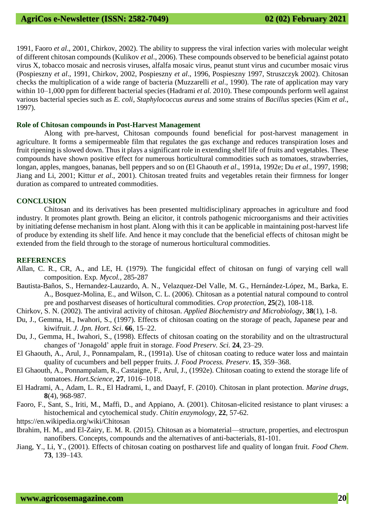1991, Faoro *et al*., 2001, Chirkov, 2002). The ability to suppress the viral infection varies with molecular weight of different chitosan compounds (Kulikov *et al*., 2006). These compounds observed to be beneficial against potato virus X, tobacco mosaic and necrosis viruses, alfalfa mosaic virus, peanut stunt virus and cucumber mosaic virus (Pospieszny *et al*., 1991, Chirkov, 2002, Pospieszny *et al*., 1996, Pospieszny 1997, Struszczyk 2002). Chitosan checks the multiplication of a wide range of bacteria (Muzzarelli *et al*., 1990). The rate of application may vary within 10–1,000 ppm for different bacterial species (Hadrami *et al.* 2010). These compounds perform well against various bacterial species such as *E. coli*, *Staphylococcus aureus* and some strains of *Bacillus* species (Kim *et al*., 1997).

#### **Role of Chitosan compounds in Post-Harvest Management**

Along with pre-harvest, Chitosan compounds found beneficial for post-harvest management in agriculture. It forms a semipermeable film that regulates the gas exchange and reduces transpiration loses and fruit ripening is slowed down. Thus it plays a significant role in extending shelf life of fruits and vegetables. These compounds have shown positive effect for numerous horticultural commodities such as tomatoes, strawberries, longan, apples, mangoes, bananas, bell peppers and so on (El Ghaouth *et al*., 1991a, 1992e; Du *et al*., 1997, 1998; Jiang and Li, 2001; Kittur *et al*., 2001). Chitosan treated fruits and vegetables retain their firmness for longer duration as compared to untreated commodities.

#### **CONCLUSION**

Chitosan and its derivatives has been presented multidisciplinary approaches in agriculture and food industry. It promotes plant growth. Being an elicitor, it controls pathogenic microorganisms and their activities by initiating defense mechanism in host plant. Along with this it can be applicable in maintaining post-harvest life of produce by extending its shelf life. And hence it may conclude that the beneficial effects of chitosan might be extended from the field through to the storage of numerous horticultural commodities.

#### **REFERENCES**

- Allan, C. R., CR, A., and LE, H. (1979). The fungicidal effect of chitosan on fungi of varying cell wall composition. Exp*. Mycol.*, 285-287
- Bautista-Baños, S., Hernandez-Lauzardo, A. N., Velazquez-Del Valle, M. G., Hernández-López, M., Barka, E. A., Bosquez-Molina, E., and Wilson, C. L. (2006). Chitosan as a potential natural compound to control pre and postharvest diseases of horticultural commodities. *Crop protection*, **25**(2), 108-118.
- Chirkov, S. N. (2002). The antiviral activity of chitosan. *Applied Biochemistry and Microbiology*, **38**(1), 1-8.
- Du, J., Gemma, H., Iwahori, S., (1997). Effects of chitosan coating on the storage of peach, Japanese pear and kiwifruit. *J. Jpn. Hort. Sci*. **66**, 15–22.
- Du, J., Gemma, H., Iwahori, S., (1998). Effects of chitosan coating on the storability and on the ultrastructural changes of 'Jonagold' apple fruit in storage. *Food Preserv. Sci.* **24**, 23–29.
- El Ghaouth, A., Arul, J., Ponnampalam, R., (1991a). Use of chitosan coating to reduce water loss and maintain quality of cucumbers and bell pepper fruits. *J. Food Process. Preserv*. **15**, 359–368.
- El Ghaouth, A., Ponnampalam, R., Castaigne, F., Arul, J., (1992e). Chitosan coating to extend the storage life of tomatoes. *Hort.Science,* **27**, 1016–1018.
- El Hadrami, A., Adam, L. R., El Hadrami, I., and Daayf, F. (2010). Chitosan in plant protection. *Marine drugs*, **8**(4), 968-987.
- Faoro, F., Sant, S., Iriti, M., Maffi, D., and Appiano, A. (2001). Chitosan-elicited resistance to plant viruses: a histochemical and cytochemical study. *Chitin enzymology*, **22**, 57-62.
- <https://en.wikipedia.org/wiki/Chitosan>
- Ibrahim, H. M., and El-Zairy, E. M. R. (2015). Chitosan as a biomaterial—structure, properties, and electrospun nanofibers. Concepts, compounds and the alternatives of anti-bacterials, 81-101.
- Jiang, Y., Li, Y., (2001). Effects of chitosan coating on postharvest life and quality of longan fruit. *Food Chem*. **73**, 139–143.